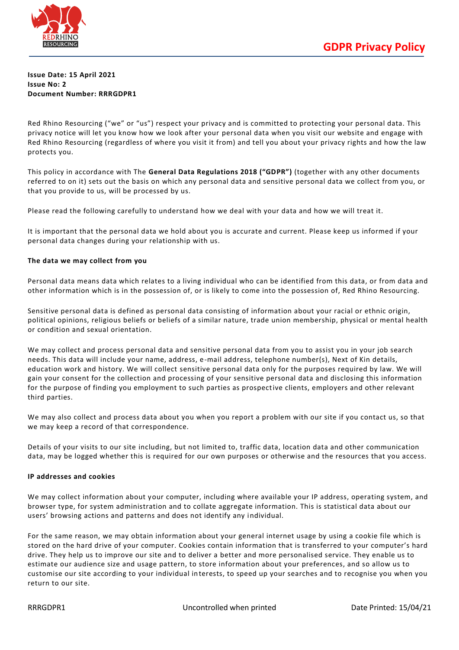

## **Issue Date: 15 April 2021 Issue No: 2 Document Number: RRRGDPR1**

Red Rhino Resourcing ("we" or "us") respect your privacy and is committed to protecting your personal data. This privacy notice will let you know how we look after your personal data when you visit our website and engage with Red Rhino Resourcing (regardless of where you visit it from) and tell you about your privacy rights and how the law protects you.

This policy in accordance with The **General Data Regulations 2018 ("GDPR")** (together with any other documents referred to on it) sets out the basis on which any personal data and sensitive personal data we collect from you, or that you provide to us, will be processed by us.

Please read the following carefully to understand how we deal with your data and how we will treat it.

It is important that the personal data we hold about you is accurate and current. Please keep us informed if your personal data changes during your relationship with us.

# **The data we may collect from you**

Personal data means data which relates to a living individual who can be identified from this data, or from data and other information which is in the possession of, or is likely to come into the possession of, Red Rhino Resourcing.

Sensitive personal data is defined as personal data consisting of information about your racial or ethnic origin, political opinions, religious beliefs or beliefs of a similar nature, trade union membership, physical or mental health or condition and sexual orientation.

We may collect and process personal data and sensitive personal data from you to assist you in your job search needs. This data will include your name, address, e-mail address, telephone number(s), Next of Kin details, education work and history. We will collect sensitive personal data only for the purposes required by law. We will gain your consent for the collection and processing of your sensitive personal data and disclosing this information for the purpose of finding you employment to such parties as prospective clients, employers and other relevant third parties.

We may also collect and process data about you when you report a problem with our site if you contact us, so that we may keep a record of that correspondence.

Details of your visits to our site including, but not limited to, traffic data, location data and other communication data, may be logged whether this is required for our own purposes or otherwise and the resources that you access.

## **IP addresses and cookies**

We may collect information about your computer, including where available your IP address, operating system, and browser type, for system administration and to collate aggregate information. This is statistical data about our users' browsing actions and patterns and does not identify any individual.

For the same reason, we may obtain information about your general internet usage by using a cookie file which is stored on the hard drive of your computer. Cookies contain information that is transferred to your computer's hard drive. They help us to improve our site and to deliver a better and more personalised service. They enable us to estimate our audience size and usage pattern, to store information about your preferences, and so allow us to customise our site according to your individual interests, to speed up your searches and to recognise you when you return to our site.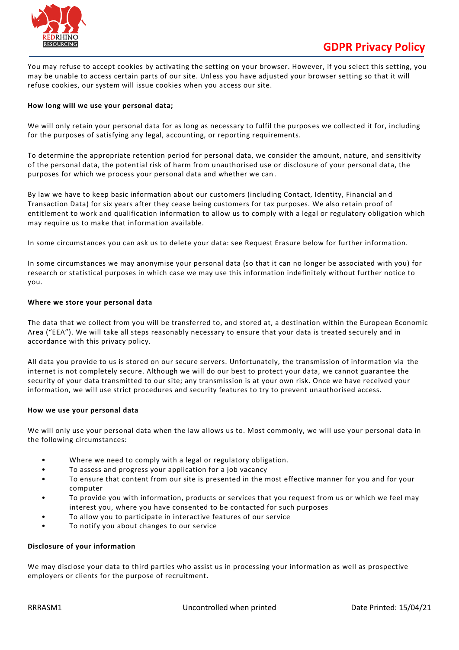

You may refuse to accept cookies by activating the setting on your browser. However, if you select this setting, you may be unable to access certain parts of our site. Unless you have adjusted your browser setting so that it will refuse cookies, our system will issue cookies when you access our site.

## **How long will we use your personal data;**

We will only retain your personal data for as long as necessary to fulfil the purposes we collected it for, including for the purposes of satisfying any legal, accounting, or reporting requirements.

To determine the appropriate retention period for personal data, we consider the amount, nature, and sensitivity of the personal data, the potential risk of harm from unauthorised use or disclosure of your personal data, the purposes for which we process your personal data and whether we can .

By law we have to keep basic information about our customers (including Contact, Identity, Financial an d Transaction Data) for six years after they cease being customers for tax purposes. We also retain proof of entitlement to work and qualification information to allow us to comply with a legal or regulatory obligation which may require us to make that information available.

In some circumstances you can ask us to delete your data: see Request Erasure below for further information.

In some circumstances we may anonymise your personal data (so that it can no longer be associated with you) for research or statistical purposes in which case we may use this information indefinitely without further notice to you.

#### **Where we store your personal data**

The data that we collect from you will be transferred to, and stored at, a destination within the European Economic Area ("EEA"). We will take all steps reasonably necessary to ensure that your data is treated securely and in accordance with this privacy policy.

All data you provide to us is stored on our secure servers. Unfortunately, the transmission of information via the internet is not completely secure. Although we will do our best to protect your data, we cannot guarantee the security of your data transmitted to our site; any transmission is at your own risk. Once we have received your information, we will use strict procedures and security features to try to prevent unauthorised access.

#### **How we use your personal data**

We will only use your personal data when the law allows us to. Most commonly, we will use your personal data in the following circumstances:

- Where we need to comply with a legal or regulatory obligation.
- To assess and progress your application for a job vacancy
- To ensure that content from our site is presented in the most effective manner for you and for your computer
- To provide you with information, products or services that you request from us or which we feel may interest you, where you have consented to be contacted for such purposes
- To allow you to participate in interactive features of our service
- To notify you about changes to our service

## **Disclosure of your information**

We may disclose your data to third parties who assist us in processing your information as well as prospective employers or clients for the purpose of recruitment.